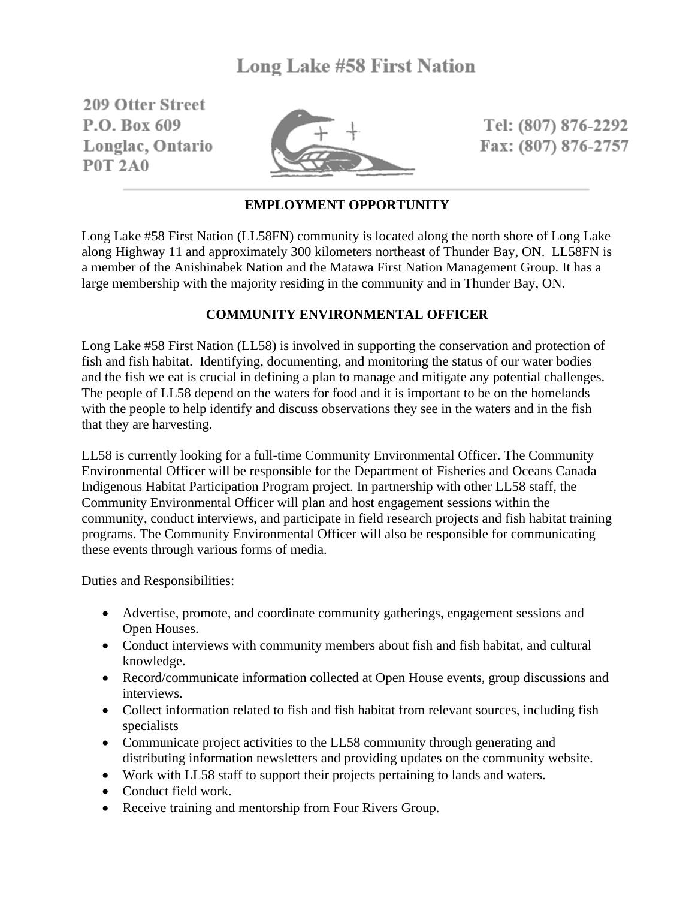209 Offer Street P.O. Box 609 Longlac, Ontario **P0T 2A0** 



Tel: (807) 876-2292 Fax: (807) 876-2757

# **EMPLOYMENT OPPORTUNITY**

Long Lake #58 First Nation (LL58FN) community is located along the north shore of Long Lake along Highway 11 and approximately 300 kilometers northeast of Thunder Bay, ON. LL58FN is a member of the Anishinabek Nation and the Matawa First Nation Management Group. It has a large membership with the majority residing in the community and in Thunder Bay, ON.

# **COMMUNITY ENVIRONMENTAL OFFICER**

Long Lake #58 First Nation (LL58) is involved in supporting the conservation and protection of fish and fish habitat. Identifying, documenting, and monitoring the status of our water bodies and the fish we eat is crucial in defining a plan to manage and mitigate any potential challenges. The people of LL58 depend on the waters for food and it is important to be on the homelands with the people to help identify and discuss observations they see in the waters and in the fish that they are harvesting.

LL58 is currently looking for a full-time Community Environmental Officer. The Community Environmental Officer will be responsible for the Department of Fisheries and Oceans Canada Indigenous Habitat Participation Program project. In partnership with other LL58 staff, the Community Environmental Officer will plan and host engagement sessions within the community, conduct interviews, and participate in field research projects and fish habitat training programs. The Community Environmental Officer will also be responsible for communicating these events through various forms of media.

# Duties and Responsibilities:

- Advertise, promote, and coordinate community gatherings, engagement sessions and Open Houses.
- Conduct interviews with community members about fish and fish habitat, and cultural knowledge.
- Record/communicate information collected at Open House events, group discussions and interviews.
- Collect information related to fish and fish habitat from relevant sources, including fish specialists
- Communicate project activities to the LL58 community through generating and distributing information newsletters and providing updates on the community website.
- Work with LL58 staff to support their projects pertaining to lands and waters.
- Conduct field work.
- Receive training and mentorship from Four Rivers Group.